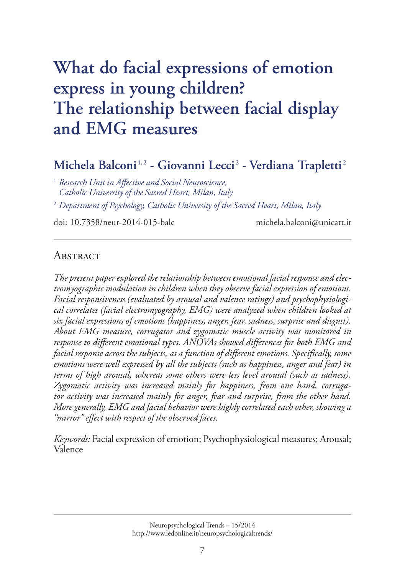# **What do facial expressions of emotion express in young children? [The relationship between facial display](http://www.ledonline.it/neuropsychologicaltrends)  and EMG measures**

# **Michela Balconi 1, <sup>2</sup> - Giovanni Lecci <sup>2</sup> - Verdiana Trapletti <sup>2</sup>**

<sup>1</sup> *Research Unit in Affective and Social Neuroscience, Catholic University of the Sacred Heart, Milan, Italy*

<sup>2</sup> *Department of Psychology, Catholic University of the Sacred Heart, Milan, Italy*

doi: 10.7358/neur-2014-015-balc michela.balconi@unicatt.it

#### **ABSTRACT**

*The present paper explored the relationship between emotional facial response and electromyographic modulation in children when they observe facial expression of emotions. Facial responsiveness (evaluated by arousal and valence ratings) and psychophysiological correlates (facial electromyography, EMG) were analyzed when children looked at six facial expressions of emotions (happiness, anger, fear, sadness, surprise and disgust). About EMG measure, corrugator and zygomatic muscle activity was monitored in response to different emotional types. ANOVAs showed differences for both EMG and facial response across the subjects, as a function of different emotions. Specifically, some emotions were well expressed by all the subjects (such as happiness, anger and fear) in terms of high arousal, whereas some others were less level arousal (such as sadness). Zygomatic activity was increased mainly for happiness, from one hand, corrugator activity was increased mainly for anger, fear and surprise, from the other hand. More generally, EMG and facial behavior were highly correlated each other, showing a "mirror" effect with respect of the observed faces.* 

*Keywords:* Facial expression of emotion; Psychophysiological measures; Arousal; Valence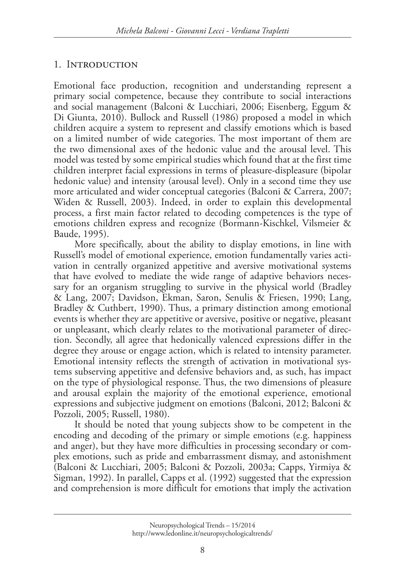### 1. Introduction

Emotional face production, recognition and understanding represent a primary social competence, because they contribute to social interactions and social management (Balconi & Lucchiari, 2006; Eisenberg, Eggum & Di Giunta, 2010). Bullock and Russell (1986) proposed a model in which children acquire a system to represent and classify emotions which is based on a limited number of wide categories. The most important of them are the two dimensional axes of the hedonic value and the arousal level. This model was tested by some empirical studies which found that at the first time children interpret facial expressions in terms of pleasure-displeasure (bipolar hedonic value) and intensity (arousal level). Only in a second time they use more articulated and wider conceptual categories (Balconi & Carrera, 2007; Widen & Russell, 2003). Indeed, in order to explain this developmental process, a first main factor related to decoding competences is the type of emotions children express and recognize (Bormann-Kischkel, Vilsmeier & Baude, 1995).

More specifically, about the ability to display emotions, in line with Russell's model of emotional experience, emotion fundamentally varies activation in centrally organized appetitive and aversive motivational systems that have evolved to mediate the wide range of adaptive behaviors necessary for an organism struggling to survive in the physical world (Bradley & Lang, 2007; Davidson, Ekman, Saron, Senulis & Friesen, 1990; Lang, Bradley & Cuthbert, 1990). Thus, a primary distinction among emotional events is whether they are appetitive or aversive, positive or negative, pleasant or unpleasant, which clearly relates to the motivational parameter of direction. Secondly, all agree that hedonically valenced expressions differ in the degree they arouse or engage action, which is related to intensity parameter. Emotional intensity reflects the strength of activation in motivational systems subserving appetitive and defensive behaviors and, as such, has impact on the type of physiological response. Thus, the two dimensions of pleasure and arousal explain the majority of the emotional experience, emotional expressions and subjective judgment on emotions (Balconi, 2012; Balconi & Pozzoli, 2005; Russell, 1980).

It should be noted that young subjects show to be competent in the encoding and decoding of the primary or simple emotions (e.g. happiness and anger), but they have more difficulties in processing secondary or complex emotions, such as pride and embarrassment dismay, and astonishment (Balconi & Lucchiari, 2005; Balconi & Pozzoli, 2003a; Capps, Yirmiya & Sigman, 1992). In parallel, Capps et al. (1992) suggested that the expression and comprehension is more difficult for emotions that imply the activation

Neuropsychological Trends – 15/2014 http://www.ledonline.it/neuropsychologicaltrends/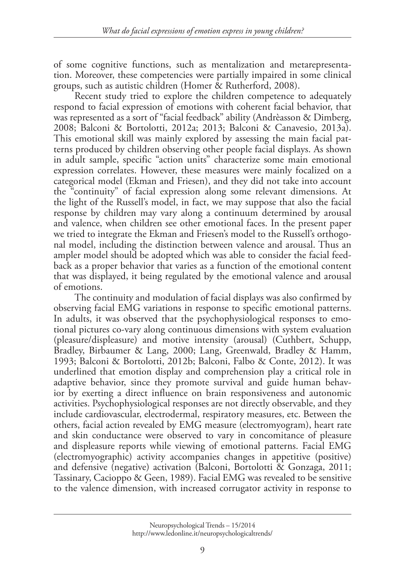of some cognitive functions, such as mentalization and metarepresentation. Moreover, these competencies were partially impaired in some clinical groups, such as autistic children (Homer & Rutherford, 2008).

Recent study tried to explore the children competence to adequately respond to facial expression of emotions with coherent facial behavior, that was represented as a sort of "facial feedback" ability (Andrèasson & Dimberg, 2008; Balconi & Bortolotti, 2012a; 2013; Balconi & Canavesio, 2013a). This emotional skill was mainly explored by assessing the main facial patterns produced by children observing other people facial displays. As shown in adult sample, specific "action units" characterize some main emotional expression correlates. However, these measures were mainly focalized on a categorical model (Ekman and Friesen), and they did not take into account the "continuity" of facial expression along some relevant dimensions. At the light of the Russell's model, in fact, we may suppose that also the facial response by children may vary along a continuum determined by arousal and valence, when children see other emotional faces. In the present paper we tried to integrate the Ekman and Friesen's model to the Russell's orthogonal model, including the distinction between valence and arousal. Thus an ampler model should be adopted which was able to consider the facial feedback as a proper behavior that varies as a function of the emotional content that was displayed, it being regulated by the emotional valence and arousal of emotions.

The continuity and modulation of facial displays was also confirmed by observing facial EMG variations in response to specific emotional patterns. In adults, it was observed that the psychophysiological responses to emotional pictures co-vary along continuous dimensions with system evaluation (pleasure/displeasure) and motive intensity (arousal) (Cuthbert, Schupp, Bradley, Birbaumer & Lang, 2000; Lang, Greenwald, Bradley & Hamm, 1993; Balconi & Bortolotti, 2012b; Balconi, Falbo & Conte, 2012). It was underlined that emotion display and comprehension play a critical role in adaptive behavior, since they promote survival and guide human behavior by exerting a direct influence on brain responsiveness and autonomic activities. Psychophysiological responses are not directly observable, and they include cardiovascular, electrodermal, respiratory measures, etc. Between the others, facial action revealed by EMG measure (electromyogram), heart rate and skin conductance were observed to vary in concomitance of pleasure and displeasure reports while viewing of emotional patterns. Facial EMG (electromyographic) activity accompanies changes in appetitive (positive) and defensive (negative) activation (Balconi, Bortolotti & Gonzaga, 2011; Tassinary, Cacioppo & Geen, 1989). Facial EMG was revealed to be sensitive to the valence dimension, with increased corrugator activity in response to

Neuropsychological Trends – 15/2014 http://www.ledonline.it/neuropsychologicaltrends/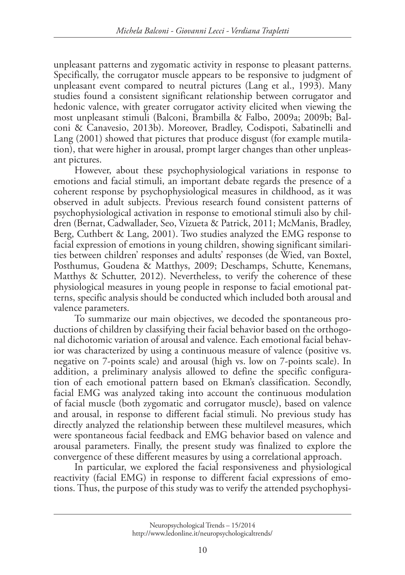unpleasant patterns and zygomatic activity in response to pleasant patterns. Specifically, the corrugator muscle appears to be responsive to judgment of unpleasant event compared to neutral pictures (Lang et al., 1993). Many studies found a consistent significant relationship between corrugator and hedonic valence, with greater corrugator activity elicited when viewing the most unpleasant stimuli (Balconi, Brambilla & Falbo, 2009a; 2009b; Balconi & Canavesio, 2013b). Moreover, Bradley, Codispoti, Sabatinelli and Lang (2001) showed that pictures that produce disgust (for example mutilation), that were higher in arousal, prompt larger changes than other unpleasant pictures.

However, about these psychophysiological variations in response to emotions and facial stimuli, an important debate regards the presence of a coherent response by psychophysiological measures in childhood, as it was observed in adult subjects. Previous research found consistent patterns of psychophysiological activation in response to emotional stimuli also by children (Bernat, Cadwallader, Seo, Vizueta & Patrick, 2011; McManis, Bradley, Berg, Cuthbert & Lang, 2001). Two studies analyzed the EMG response to facial expression of emotions in young children, showing significant similarities between children' responses and adults' responses (de Wied, van Boxtel, Posthumus, Goudena & Matthys, 2009; Deschamps, Schutte, Kenemans, Matthys & Schutter, 2012). Nevertheless, to verify the coherence of these physiological measures in young people in response to facial emotional patterns, specific analysis should be conducted which included both arousal and valence parameters.

To summarize our main objectives, we decoded the spontaneous productions of children by classifying their facial behavior based on the orthogonal dichotomic variation of arousal and valence. Each emotional facial behavior was characterized by using a continuous measure of valence (positive vs. negative on 7-points scale) and arousal (high vs. low on 7-points scale). In addition, a preliminary analysis allowed to define the specific configuration of each emotional pattern based on Ekman's classification. Secondly, facial EMG was analyzed taking into account the continuous modulation of facial muscle (both zygomatic and corrugator muscle), based on valence and arousal, in response to different facial stimuli. No previous study has directly analyzed the relationship between these multilevel measures, which were spontaneous facial feedback and EMG behavior based on valence and arousal parameters. Finally, the present study was finalized to explore the convergence of these different measures by using a correlational approach.

In particular, we explored the facial responsiveness and physiological reactivity (facial EMG) in response to different facial expressions of emotions. Thus, the purpose of this study was to verify the attended psychophysi-

Neuropsychological Trends – 15/2014 http://www.ledonline.it/neuropsychologicaltrends/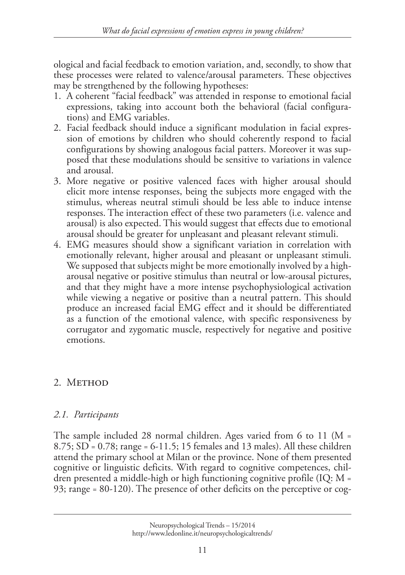ological and facial feedback to emotion variation, and, secondly, to show that these processes were related to valence/arousal parameters. These objectives may be strengthened by the following hypotheses:

- 1. A coherent "facial feedback" was attended in response to emotional facial expressions, taking into account both the behavioral (facial configurations) and EMG variables.
- 2. Facial feedback should induce a significant modulation in facial expression of emotions by children who should coherently respond to facial configurations by showing analogous facial patters. Moreover it was supposed that these modulations should be sensitive to variations in valence and arousal.
- 3. More negative or positive valenced faces with higher arousal should elicit more intense responses, being the subjects more engaged with the stimulus, whereas neutral stimuli should be less able to induce intense responses. The interaction effect of these two parameters (i.e. valence and arousal) is also expected. This would suggest that effects due to emotional arousal should be greater for unpleasant and pleasant relevant stimuli.
- 4. EMG measures should show a significant variation in correlation with emotionally relevant, higher arousal and pleasant or unpleasant stimuli. We supposed that subjects might be more emotionally involved by a higharousal negative or positive stimulus than neutral or low-arousal pictures, and that they might have a more intense psychophysiological activation while viewing a negative or positive than a neutral pattern. This should produce an increased facial EMG effect and it should be differentiated as a function of the emotional valence, with specific responsiveness by corrugator and zygomatic muscle, respectively for negative and positive emotions.

# 2. METHOD

# *2.1. Participants*

The sample included 28 normal children. Ages varied from 6 to 11 (M = 8.75; SD = 0.78; range = 6-11.5; 15 females and 13 males). All these children attend the primary school at Milan or the province. None of them presented cognitive or linguistic deficits. With regard to cognitive competences, children presented a middle-high or high functioning cognitive profile (IQ: M = 93; range = 80-120). The presence of other deficits on the perceptive or cog-

Neuropsychological Trends – 15/2014 http://www.ledonline.it/neuropsychologicaltrends/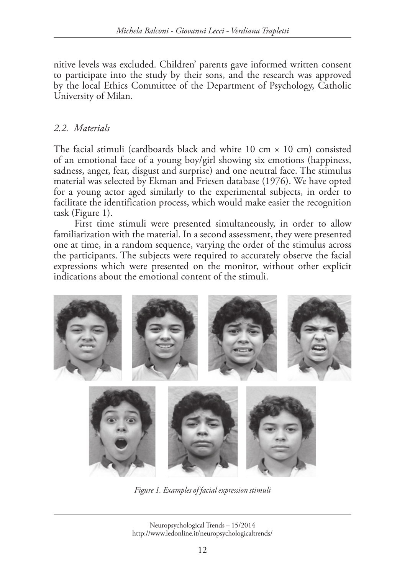nitive levels was excluded. Children' parents gave informed written consent to participate into the study by their sons, and the research was approved by the local Ethics Committee of the Department of Psychology, Catholic University of Milan.

#### *2.2. Materials*

The facial stimuli (cardboards black and white 10 cm  $\times$  10 cm) consisted of an emotional face of a young boy/girl showing six emotions (happiness, sadness, anger, fear, disgust and surprise) and one neutral face. The stimulus material was selected by Ekman and Friesen database (1976). We have opted for a young actor aged similarly to the experimental subjects, in order to facilitate the identification process, which would make easier the recognition task (Figure 1).

First time stimuli were presented simultaneously, in order to allow familiarization with the material. In a second assessment, they were presented one at time, in a random sequence, varying the order of the stimulus across the participants. The subjects were required to accurately observe the facial expressions which were presented on the monitor, without other explicit indications about the emotional content of the stimuli.



Fig 1 *Figure 1. Examples of facial expression stimuli*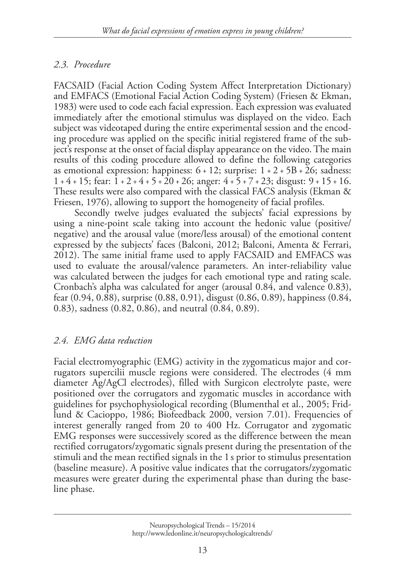#### *2.3. Procedure*

FACSAID (Facial Action Coding System Affect Interpretation Dictionary) and EMFACS (Emotional Facial Action Coding System) (Friesen & Ekman, 1983) were used to code each facial expression. Each expression was evaluated immediately after the emotional stimulus was displayed on the video. Each subject was videotaped during the entire experimental session and the encoding procedure was applied on the specific initial registered frame of the subject's response at the onset of facial display appearance on the video. The main results of this coding procedure allowed to define the following categories as emotional expression: happiness:  $6 + 12$ ; surprise:  $1 + 2 + 5B + 26$ ; sadness: 1 + 4 + 15; fear: 1 + 2 + 4 + 5 + 20 + 26; anger: 4 + 5 + 7 + 23; disgust: 9 + 15 + 16. These results were also compared with the classical FACS analysis (Ekman & Friesen, 1976), allowing to support the homogeneity of facial profiles.

Secondly twelve judges evaluated the subjects' facial expressions by using a nine-point scale taking into account the hedonic value (positive/ negative) and the arousal value (more/less arousal) of the emotional content expressed by the subjects' faces (Balconi, 2012; Balconi, Amenta & Ferrari, 2012). The same initial frame used to apply FACSAID and EMFACS was used to evaluate the arousal/valence parameters. An inter-reliability value was calculated between the judges for each emotional type and rating scale. Cronbach's alpha was calculated for anger (arousal 0.84, and valence 0.83), fear (0.94, 0.88), surprise (0.88, 0.91), disgust (0.86, 0.89), happiness (0.84, 0.83), sadness (0.82, 0.86), and neutral (0.84, 0.89).

# *2.4. EMG data reduction*

Facial electromyographic (EMG) activity in the zygomaticus major and corrugators supercilii muscle regions were considered. The electrodes (4 mm diameter Ag/AgCl electrodes), filled with Surgicon electrolyte paste, were positioned over the corrugators and zygomatic muscles in accordance with guidelines for psychophysiological recording (Blumenthal et al., 2005; Fridlund & Cacioppo, 1986; Biofeedback 2000, version 7.01). Frequencies of interest generally ranged from 20 to 400 Hz. Corrugator and zygomatic EMG responses were successively scored as the difference between the mean rectified corrugators/zygomatic signals present during the presentation of the stimuli and the mean rectified signals in the 1 s prior to stimulus presentation (baseline measure). A positive value indicates that the corrugators/zygomatic measures were greater during the experimental phase than during the baseline phase.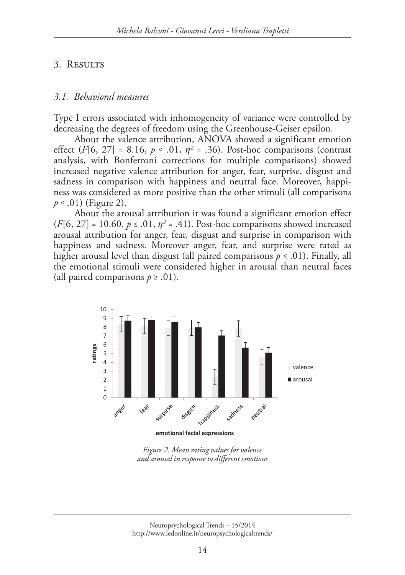#### 3. Results

#### *3.1. Behavioral measures*

Type I errors associated with inhomogeneity of variance were controlled by decreasing the degrees of freedom using the Greenhouse-Geiser epsilon.

About the valence attribution, ANOVA showed a significant emotion effect  $(F[6, 27] = 8.16, p \le .01, \eta^2 = .36)$ . Post-hoc comparisons (contrast analysis, with Bonferroni corrections for multiple comparisons) showed increased negative valence attribution for anger, fear, surprise, disgust and sadness in comparison with happiness and neutral face. Moreover, happiness was considered as more positive than the other stimuli (all comparisons *p* ≤ .01) (Figure 2).

About the arousal attribution it was found a significant emotion effect  $(F[6, 27] = 10.60, p \le .01, \eta^2 = .41)$ . Post-hoc comparisons showed increased arousal attribution for anger, fear, disgust and surprise in comparison with happiness and sadness. Moreover anger, fear, and surprise were rated as higher arousal level than disgust (all paired comparisons *p* ≤ .01). Finally, all the emotional stimuli were considered higher in arousal than neutral faces (all paired comparisons  $p \geq .01$ ).



*Figure 2. Mean rating values for valence and arousal in response to different emotions*

Neuropsychological Trends – 15/2014 http://www.ledonline.it/neuropsychologicaltrends/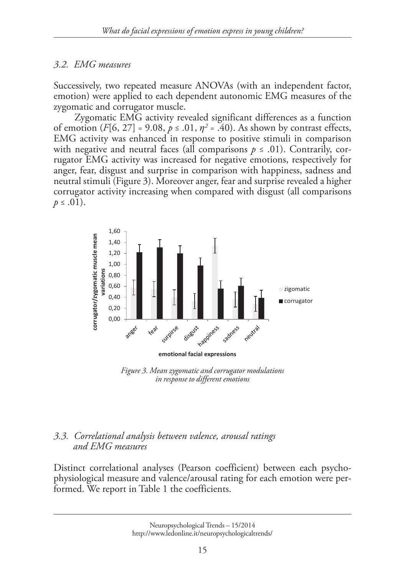# *3.2. EMG measures*

Successively, two repeated measure ANOVAs (with an independent factor, emotion) were applied to each dependent autonomic EMG measures of the zygomatic and corrugator muscle.

Zygomatic EMG activity revealed significant differences as a function of emotion  $(F[6, 27] = 9.08, p \le 0.01, \eta^2 = 0.40)$ . As shown by contrast effects, EMG activity was enhanced in response to positive stimuli in comparison with negative and neutral faces (all comparisons  $p \leq .01$ ). Contrarily, corrugator EMG activity was increased for negative emotions, respectively for anger, fear, disgust and surprise in comparison with happiness, sadness and neutral stimuli (Figure 3). Moreover anger, fear and surprise revealed a higher corrugator activity increasing when compared with disgust (all comparisons  $p \leq .01$ ).



*Figure 3. Mean zygomatic and corrugator modulations in response to different emotions*

#### *3.3. Correlational analysis between valence, arousal ratings and EMG measures*

Distinct correlational analyses (Pearson coefficient) between each psychophysiological measure and valence/arousal rating for each emotion were performed. We report in Table 1 the coefficients.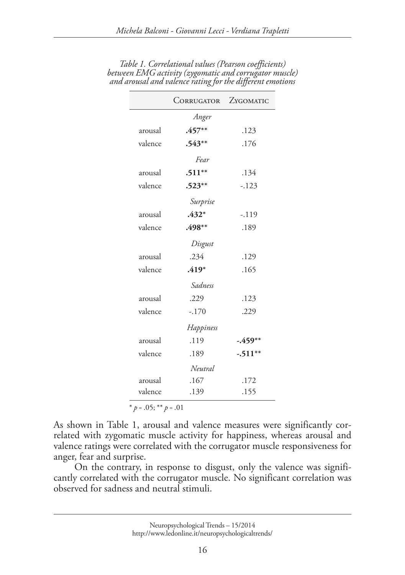|         | CORRUGATOR ZYGOMATIC |           |
|---------|----------------------|-----------|
| Anger   |                      |           |
| arousal | $.457**$             | .123      |
| valence | $.543**$             | .176      |
| Fear    |                      |           |
| arousal | $.511**$             | .134      |
| valence | $.523***$            | $-.123$   |
|         | Surprise             |           |
| arousal | $.432*$              | $-.119$   |
| valence | .498**               | .189      |
|         | Disgust              |           |
| arousal | .234                 | .129      |
| valence | $.419*$              | .165      |
|         | Sadness              |           |
| arousal | .229                 | .123      |
| valence | $-.170$              | .229      |
|         | Happiness            |           |
| arousal | .119                 | $-.459**$ |
| valence | .189                 | $-.511**$ |
|         | Neutral              |           |
| arousal | .167                 | .172      |
| valence | .139                 | .155      |
|         |                      |           |

*Table 1. Correlational values (Pearson coefficients) between EMG activity (zygomatic and corrugator muscle) and arousal and valence rating for the different emotions*

 $*$  *p* = .05; \*\* *p* = .01

As shown in Table 1, arousal and valence measures were significantly correlated with zygomatic muscle activity for happiness, whereas arousal and valence ratings were correlated with the corrugator muscle responsiveness for anger, fear and surprise.

On the contrary, in response to disgust, only the valence was significantly correlated with the corrugator muscle. No significant correlation was observed for sadness and neutral stimuli.

Neuropsychological Trends – 15/2014 http://www.ledonline.it/neuropsychologicaltrends/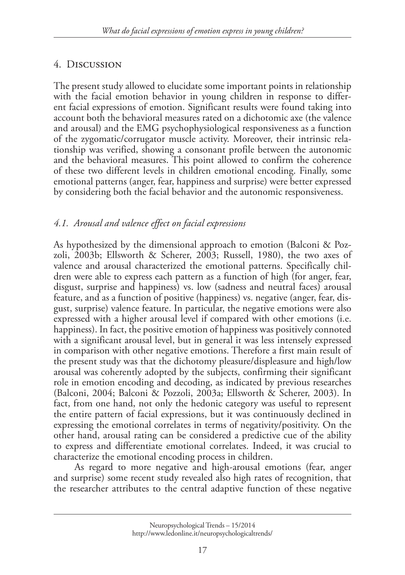# 4. Discussion

The present study allowed to elucidate some important points in relationship with the facial emotion behavior in young children in response to different facial expressions of emotion. Significant results were found taking into account both the behavioral measures rated on a dichotomic axe (the valence and arousal) and the EMG psychophysiological responsiveness as a function of the zygomatic/corrugator muscle activity. Moreover, their intrinsic relationship was verified, showing a consonant profile between the autonomic and the behavioral measures. This point allowed to confirm the coherence of these two different levels in children emotional encoding. Finally, some emotional patterns (anger, fear, happiness and surprise) were better expressed by considering both the facial behavior and the autonomic responsiveness.

# *4.1. Arousal and valence effect on facial expressions*

As hypothesized by the dimensional approach to emotion (Balconi & Pozzoli, 2003b; Ellsworth & Scherer, 2003; Russell, 1980), the two axes of valence and arousal characterized the emotional patterns. Specifically children were able to express each pattern as a function of high (for anger, fear, disgust, surprise and happiness) vs. low (sadness and neutral faces) arousal feature, and as a function of positive (happiness) vs. negative (anger, fear, disgust, surprise) valence feature. In particular, the negative emotions were also expressed with a higher arousal level if compared with other emotions (i.e. happiness). In fact, the positive emotion of happiness was positively connoted with a significant arousal level, but in general it was less intensely expressed in comparison with other negative emotions. Therefore a first main result of the present study was that the dichotomy pleasure/displeasure and high/low arousal was coherently adopted by the subjects, confirming their significant role in emotion encoding and decoding, as indicated by previous researches (Balconi, 2004; Balconi & Pozzoli, 2003a; Ellsworth & Scherer, 2003). In fact, from one hand, not only the hedonic category was useful to represent the entire pattern of facial expressions, but it was continuously declined in expressing the emotional correlates in terms of negativity/positivity. On the other hand, arousal rating can be considered a predictive cue of the ability to express and differentiate emotional correlates. Indeed, it was crucial to characterize the emotional encoding process in children.

As regard to more negative and high-arousal emotions (fear, anger and surprise) some recent study revealed also high rates of recognition, that the researcher attributes to the central adaptive function of these negative

Neuropsychological Trends – 15/2014 http://www.ledonline.it/neuropsychologicaltrends/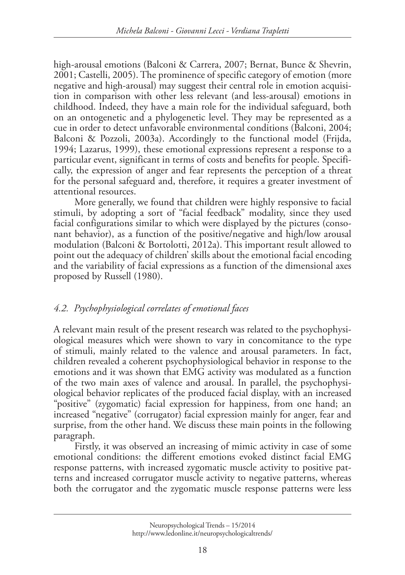high-arousal emotions (Balconi & Carrera, 2007; Bernat, Bunce & Shevrin, 2001; Castelli, 2005). The prominence of specific category of emotion (more negative and high-arousal) may suggest their central role in emotion acquisition in comparison with other less relevant (and less-arousal) emotions in childhood. Indeed, they have a main role for the individual safeguard, both on an ontogenetic and a phylogenetic level. They may be represented as a cue in order to detect unfavorable environmental conditions (Balconi, 2004; Balconi & Pozzoli, 2003a). Accordingly to the functional model (Frijda, 1994; Lazarus, 1999), these emotional expressions represent a response to a particular event, significant in terms of costs and benefits for people. Specifically, the expression of anger and fear represents the perception of a threat for the personal safeguard and, therefore, it requires a greater investment of attentional resources.

More generally, we found that children were highly responsive to facial stimuli, by adopting a sort of "facial feedback" modality, since they used facial configurations similar to which were displayed by the pictures (consonant behavior), as a function of the positive/negative and high/low arousal modulation (Balconi & Bortolotti, 2012a). This important result allowed to point out the adequacy of children' skills about the emotional facial encoding and the variability of facial expressions as a function of the dimensional axes proposed by Russell (1980).

# *4.2. Psychophysiological correlates of emotional faces*

A relevant main result of the present research was related to the psychophysiological measures which were shown to vary in concomitance to the type of stimuli, mainly related to the valence and arousal parameters. In fact, children revealed a coherent psychophysiological behavior in response to the emotions and it was shown that EMG activity was modulated as a function of the two main axes of valence and arousal. In parallel, the psychophysiological behavior replicates of the produced facial display, with an increased "positive" (zygomatic) facial expression for happiness, from one hand; an increased "negative" (corrugator) facial expression mainly for anger, fear and surprise, from the other hand. We discuss these main points in the following paragraph.

Firstly, it was observed an increasing of mimic activity in case of some emotional conditions: the different emotions evoked distinct facial EMG response patterns, with increased zygomatic muscle activity to positive patterns and increased corrugator muscle activity to negative patterns, whereas both the corrugator and the zygomatic muscle response patterns were less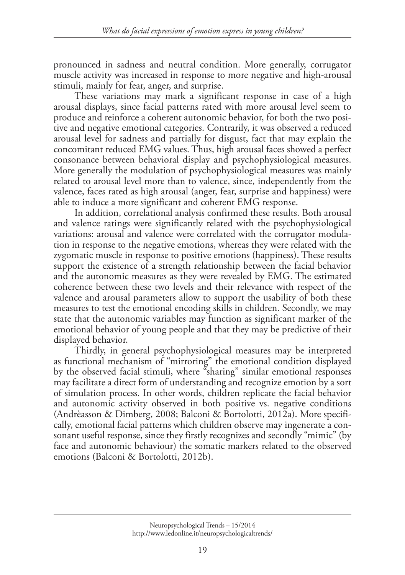pronounced in sadness and neutral condition. More generally, corrugator muscle activity was increased in response to more negative and high-arousal stimuli, mainly for fear, anger, and surprise.

These variations may mark a significant response in case of a high arousal displays, since facial patterns rated with more arousal level seem to produce and reinforce a coherent autonomic behavior, for both the two positive and negative emotional categories. Contrarily, it was observed a reduced arousal level for sadness and partially for disgust, fact that may explain the concomitant reduced EMG values. Thus, high arousal faces showed a perfect consonance between behavioral display and psychophysiological measures. More generally the modulation of psychophysiological measures was mainly related to arousal level more than to valence, since, independently from the valence, faces rated as high arousal (anger, fear, surprise and happiness) were able to induce a more significant and coherent EMG response.

In addition, correlational analysis confirmed these results. Both arousal and valence ratings were significantly related with the psychophysiological variations: arousal and valence were correlated with the corrugator modulation in response to the negative emotions, whereas they were related with the zygomatic muscle in response to positive emotions (happiness). These results support the existence of a strength relationship between the facial behavior and the autonomic measures as they were revealed by EMG. The estimated coherence between these two levels and their relevance with respect of the valence and arousal parameters allow to support the usability of both these measures to test the emotional encoding skills in children. Secondly, we may state that the autonomic variables may function as significant marker of the emotional behavior of young people and that they may be predictive of their displayed behavior.

Thirdly, in general psychophysiological measures may be interpreted as functional mechanism of "mirroring" the emotional condition displayed by the observed facial stimuli, where "sharing" similar emotional responses may facilitate a direct form of understanding and recognize emotion by a sort of simulation process. In other words, children replicate the facial behavior and autonomic activity observed in both positive vs. negative conditions (Andrèasson & Dimberg, 2008; Balconi & Bortolotti, 2012a). More specifically, emotional facial patterns which children observe may ingenerate a consonant useful response, since they firstly recognizes and secondly "mimic" (by face and autonomic behaviour) the somatic markers related to the observed emotions (Balconi & Bortolotti, 2012b).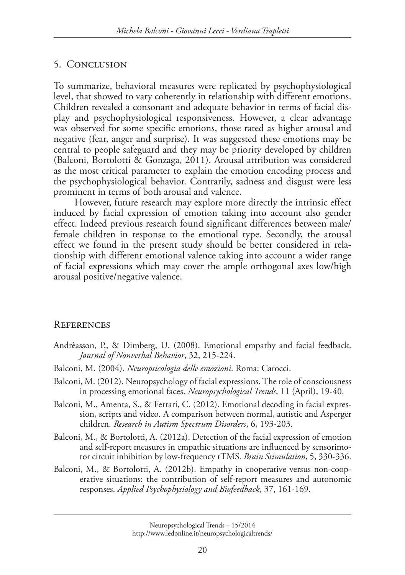#### 5. Conclusion

To summarize, behavioral measures were replicated by psychophysiological level, that showed to vary coherently in relationship with different emotions. Children revealed a consonant and adequate behavior in terms of facial display and psychophysiological responsiveness. However, a clear advantage was observed for some specific emotions, those rated as higher arousal and negative (fear, anger and surprise). It was suggested these emotions may be central to people safeguard and they may be priority developed by children (Balconi, Bortolotti & Gonzaga, 2011). Arousal attribution was considered as the most critical parameter to explain the emotion encoding process and the psychophysiological behavior. Contrarily, sadness and disgust were less prominent in terms of both arousal and valence.

However, future research may explore more directly the intrinsic effect induced by facial expression of emotion taking into account also gender effect. Indeed previous research found significant differences between male/ female children in response to the emotional type. Secondly, the arousal effect we found in the present study should be better considered in relationship with different emotional valence taking into account a wider range of facial expressions which may cover the ample orthogonal axes low/high arousal positive/negative valence.

#### **REFERENCES**

- Andrèasson, P., & Dimberg, U. (2008). Emotional empathy and facial feedback. *Journal of Nonverbal Behavior*, 32, 215-224.
- Balconi, M. (2004). *Neuropsicologia delle emozioni*. Roma: Carocci.
- Balconi, M. (2012). Neuropsychology of facial expressions. The role of consciousness in processing emotional faces. *Neuropsychological Trends*, 11 (April), 19-40.
- Balconi, M., Amenta, S., & Ferrari, C. (2012). Emotional decoding in facial expression, scripts and video. A comparison between normal, autistic and Asperger children. *Research in Autism Spectrum Disorders*, 6, 193-203.
- Balconi, M., & Bortolotti, A. (2012a). Detection of the facial expression of emotion and self-report measures in empathic situations are influenced by sensorimotor circuit inhibition by low-frequency rTMS. *Brain Stimulation*, 5, 330-336.
- Balconi, M., & Bortolotti, A. (2012b). Empathy in cooperative versus non-cooperative situations: the contribution of self-report measures and autonomic responses. *Applied Psychophysiology and Biofeedback*, 37, 161-169.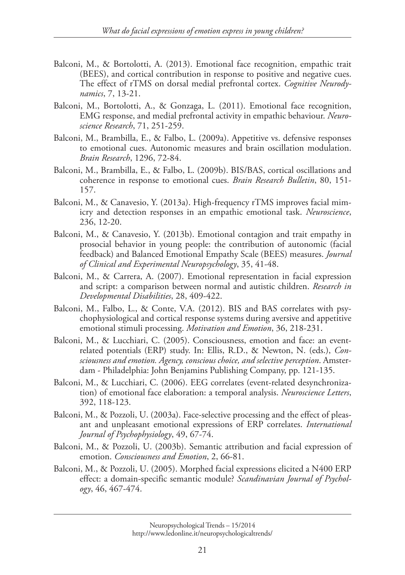- Balconi, M., & Bortolotti, A. (2013). Emotional face recognition, empathic trait (BEES), and cortical contribution in response to positive and negative cues. The effect of rTMS on dorsal medial prefrontal cortex. *Cognitive Neurodynamics*, 7, 13-21.
- Balconi, M., Bortolotti, A., & Gonzaga, L. (2011). Emotional face recognition, EMG response, and medial prefrontal activity in empathic behaviour. *Neuroscience Research*, 71, 251-259.
- Balconi, M., Brambilla, E., & Falbo, L. (2009a). Appetitive vs. defensive responses to emotional cues. Autonomic measures and brain oscillation modulation. *Brain Research*, 1296, 72-84.
- Balconi, M., Brambilla, E., & Falbo, L. (2009b). BIS/BAS, cortical oscillations and coherence in response to emotional cues. *Brain Research Bulletin*, 80, 151- 157.
- Balconi, M., & Canavesio, Y. (2013a). High-frequency rTMS improves facial mimicry and detection responses in an empathic emotional task. *Neuroscience*, 236, 12-20.
- Balconi, M., & Canavesio, Y. (2013b). Emotional contagion and trait empathy in prosocial behavior in young people: the contribution of autonomic (facial feedback) and Balanced Emotional Empathy Scale (BEES) measures. *Journal of Clinical and Experimental Neuropsychology*, 35, 41-48.
- Balconi, M., & Carrera, A. (2007). Emotional representation in facial expression and script: a comparison between normal and autistic children. *Research in Developmental Disabilities*, 28, 409-422.
- Balconi, M., Falbo, L., & Conte, V.A. (2012). BIS and BAS correlates with psychophysiological and cortical response systems during aversive and appetitive emotional stimuli processing. *Motivation and Emotion*, 36, 218-231.
- Balconi, M., & Lucchiari, C. (2005). Consciousness, emotion and face: an eventrelated potentials (ERP) study. In: Ellis, R.D., & Newton, N. (eds.), *Consciousness and emotion. Agency, conscious choice, and selective perception*. Amsterdam - Philadelphia: John Benjamins Publishing Company, pp. 121-135.
- Balconi, M., & Lucchiari, C. (2006). EEG correlates (event-related desynchronization) of emotional face elaboration: a temporal analysis. *Neuroscience Letters*, 392, 118-123.
- Balconi, M., & Pozzoli, U. (2003a). Face-selective processing and the effect of pleasant and unpleasant emotional expressions of ERP correlates. *International Journal of Psychophysiology*, 49, 67-74.
- Balconi, M., & Pozzoli, U. (2003b). Semantic attribution and facial expression of emotion. *Consciousness and Emotion*, 2, 66-81.
- Balconi, M., & Pozzoli, U. (2005). Morphed facial expressions elicited a N400 ERP effect: a domain-specific semantic module? *Scandinavian Journal of Psychology*, 46, 467-474.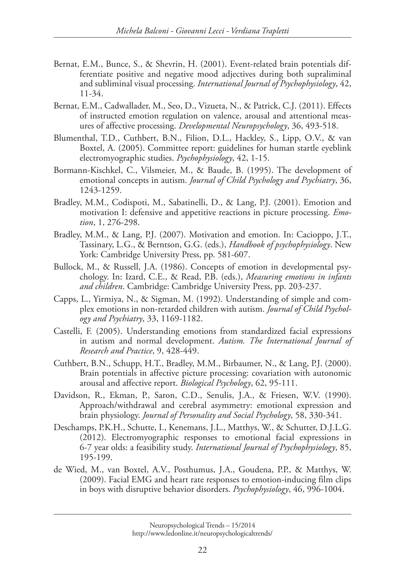- Bernat, E.M., Bunce, S., & Shevrin, H. (2001). Event-related brain potentials differentiate positive and negative mood adjectives during both supraliminal and subliminal visual processing. *International Journal of Psychophysiology*, 42, 11-34.
- Bernat, E.M., Cadwallader, M., Seo, D., Vizueta, N., & Patrick, C.J. (2011). Effects of instructed emotion regulation on valence, arousal and attentional measures of affective processing. *Developmental Neuropsychology*, 36, 493-518.
- Blumenthal, T.D., Cuthbert, B.N., Filion, D.L., Hackley, S., Lipp, O.V., & van Boxtel, A. (2005). Committee report: guidelines for human startle eyeblink electromyographic studies. *Psychophysiology*, 42, 1-15.
- Bormann-Kischkel, C., Vilsmeier, M., & Baude, B. (1995). The development of emotional concepts in autism. *Journal of Child Psychology and Psychiatry*, 36, 1243-1259.
- Bradley, M.M., Codispoti, M., Sabatinelli, D., & Lang, P.J. (2001). Emotion and motivation I: defensive and appetitive reactions in picture processing. *Emotion*, 1, 276-298.
- Bradley, M.M., & Lang, P.J. (2007). Motivation and emotion. In: Cacioppo, J.T., Tassinary, L.G., & Berntson, G.G. (eds.), *Handbook of psychophysiology*. New York: Cambridge University Press, pp. 581-607.
- Bullock, M., & Russell, J.A. (1986). Concepts of emotion in developmental psychology. In: Izard, C.E., & Read, P.B. (eds.), *Measuring emotions in infants and children*. Cambridge: Cambridge University Press, pp. 203-237.
- Capps, L., Yirmiya, N., & Sigman, M. (1992). Understanding of simple and complex emotions in non-retarded children with autism. *Journal of Child Psychology and Psychiatry*, 33, 1169-1182.
- Castelli, F. (2005). Understanding emotions from standardized facial expressions in autism and normal development. *Autism. The International Journal of Research and Practice*, 9, 428-449.
- Cuthbert, B.N., Schupp, H.T., Bradley, M.M., Birbaumer, N., & Lang, P.J. (2000). Brain potentials in affective picture processing: covariation with autonomic arousal and affective report. *Biological Psychology*, 62, 95-111.
- Davidson, R., Ekman, P., Saron, C.D., Senulis, J.A., & Friesen, W.V. (1990). Approach/withdrawal and cerebral asymmetry: emotional expression and brain physiology. *Journal of Personality and Social Psychology*, 58, 330-341.
- Deschamps, P.K.H., Schutte, I., Kenemans, J.L., Matthys, W., & Schutter, D.J.L.G. (2012). Electromyographic responses to emotional facial expressions in 6-7 year olds: a feasibility study. *International Journal of Psychophysiology*, 85, 195-199.
- de Wied, M., van Boxtel, A.V., Posthumus, J.A., Goudena, P.P., & Matthys, W. (2009). Facial EMG and heart rate responses to emotion-inducing film clips in boys with disruptive behavior disorders. *Psychophysiology*, 46, 996-1004.

Neuropsychological Trends – 15/2014 http://www.ledonline.it/neuropsychologicaltrends/